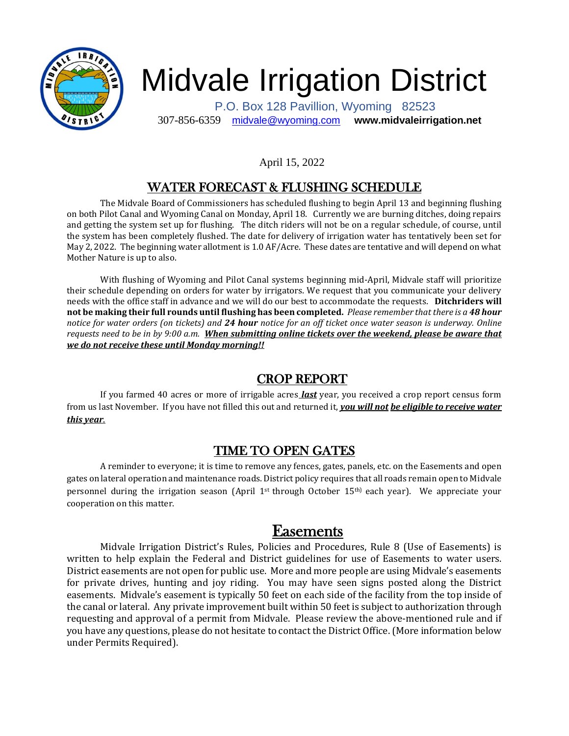

# Midvale Irrigation District

 P.O. Box 128 Pavillion, Wyoming 82523 307-856-6359 [midvale@wyoming.com](mailto:midvale@wyoming.com) **www.midvaleirrigation.net**

#### April 15, 2022

# WATER FORECAST & FLUSHING SCHEDULE

The Midvale Board of Commissioners has scheduled flushing to begin April 13 and beginning flushing on both Pilot Canal and Wyoming Canal on Monday, April 18. Currently we are burning ditches, doing repairs and getting the system set up for flushing. The ditch riders will not be on a regular schedule, of course, until the system has been completely flushed. The date for delivery of irrigation water has tentatively been set for May 2, 2022. The beginning water allotment is 1.0 AF/Acre. These dates are tentative and will depend on what Mother Nature is up to also.

With flushing of Wyoming and Pilot Canal systems beginning mid-April, Midvale staff will prioritize their schedule depending on orders for water by irrigators. We request that you communicate your delivery needs with the office staff in advance and we will do our best to accommodate the requests. **Ditchriders will not be making their full rounds until flushing has been completed.** *Please remember that there is a 48 hour notice for water orders (on tickets) and 24 hour notice for an off ticket once water season is underway. Online requests need to be in by 9:00 a.m. When submitting online tickets over the weekend, please be aware that we do not receive these until Monday morning!!*

# CROP REPORT

If you farmed 40 acres or more of irrigable acres *last* year, you received a crop report census form from us last November. If you have not filled this out and returned it, *you will not be eligible to receive water this year*.

## TIME TO OPEN GATES

A reminder to everyone; it is time to remove any fences, gates, panels, etc. on the Easements and open gates on lateral operation and maintenance roads. District policy requires that all roads remain open to Midvale personnel during the irrigation season (April 1<sup>st</sup> through October 15<sup>th)</sup> each year). We appreciate your cooperation on this matter.

# Easements

Midvale Irrigation District's Rules, Policies and Procedures, Rule 8 (Use of Easements) is written to help explain the Federal and District guidelines for use of Easements to water users. District easements are not open for public use. More and more people are using Midvale's easements for private drives, hunting and joy riding. You may have seen signs posted along the District easements. Midvale's easement is typically 50 feet on each side of the facility from the top inside of the canal or lateral. Any private improvement built within 50 feet is subject to authorization through requesting and approval of a permit from Midvale. Please review the above-mentioned rule and if you have any questions, please do not hesitate to contact the District Office. (More information below under Permits Required).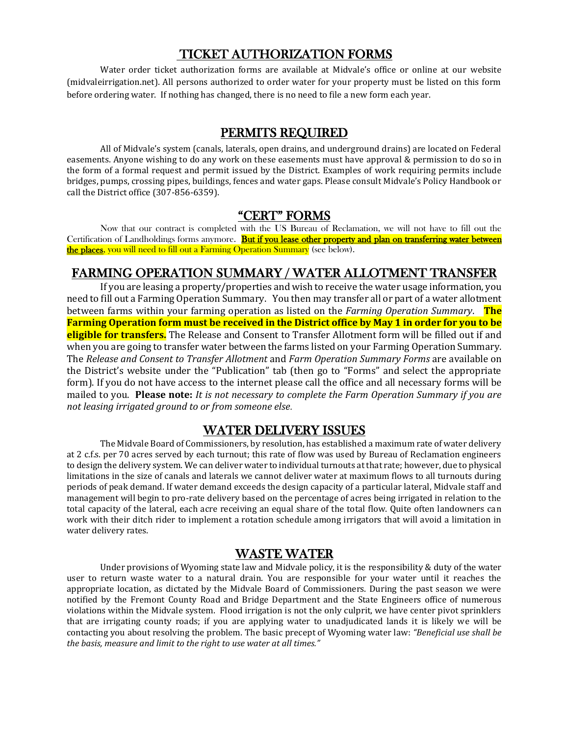## TICKET AUTHORIZATION FORMS

Water order ticket authorization forms are available at Midvale's office or online at our website (midvaleirrigation.net). All persons authorized to order water for your property must be listed on this form before ordering water. If nothing has changed, there is no need to file a new form each year.

#### PERMITS REQUIRED

All of Midvale's system (canals, laterals, open drains, and underground drains) are located on Federal easements. Anyone wishing to do any work on these easements must have approval & permission to do so in the form of a formal request and permit issued by the District. Examples of work requiring permits include bridges, pumps, crossing pipes, buildings, fences and water gaps. Please consult Midvale's Policy Handbook or call the District office (307-856-6359).

## "CERT" FORMS

Now that our contract is completed with the US Bureau of Reclamation, we will not have to fill out the Certification of Landholdings forms anymore. But if you lease other property and plan on transferring water between the places, you will need to fill out a Farming Operation Summary (see below).

#### FARMING OPERATION SUMMARY / WATER ALLOTMENT TRANSFER

If you are leasing a property/properties and wish to receive the water usage information, you need to fill out a Farming Operation Summary. You then may transfer all or part of a water allotment between farms within your farming operation as listed on the *Farming Operation Summary*. **The Farming Operation form must be received in the District office by May 1 in order for you to be eligible for transfers.** The Release and Consent to Transfer Allotment form will be filled out if and when you are going to transfer water between the farms listed on your Farming Operation Summary. The *Release and Consent to Transfer Allotment* and *Farm Operation Summary Forms* are available on the District's website under the "Publication" tab (then go to "Forms" and select the appropriate form). If you do not have access to the internet please call the office and all necessary forms will be mailed to you. **Please note:** *It is not necessary to complete the Farm Operation Summary if you are not leasing irrigated ground to or from someone else.*

#### WATER DELIVERY ISSUES

The Midvale Board of Commissioners, by resolution, has established a maximum rate of water delivery at 2 c.f.s. per 70 acres served by each turnout; this rate of flow was used by Bureau of Reclamation engineers to design the delivery system. We can deliver water to individual turnouts at that rate; however, due to physical limitations in the size of canals and laterals we cannot deliver water at maximum flows to all turnouts during periods of peak demand. If water demand exceeds the design capacity of a particular lateral, Midvale staff and management will begin to pro-rate delivery based on the percentage of acres being irrigated in relation to the total capacity of the lateral, each acre receiving an equal share of the total flow. Quite often landowners can work with their ditch rider to implement a rotation schedule among irrigators that will avoid a limitation in water delivery rates.

## WASTE WATER

Under provisions of Wyoming state law and Midvale policy, it is the responsibility & duty of the water user to return waste water to a natural drain. You are responsible for your water until it reaches the appropriate location, as dictated by the Midvale Board of Commissioners. During the past season we were notified by the Fremont County Road and Bridge Department and the State Engineers office of numerous violations within the Midvale system. Flood irrigation is not the only culprit, we have center pivot sprinklers that are irrigating county roads; if you are applying water to unadjudicated lands it is likely we will be contacting you about resolving the problem. The basic precept of Wyoming water law: *"Beneficial use shall be the basis, measure and limit to the right to use water at all times."*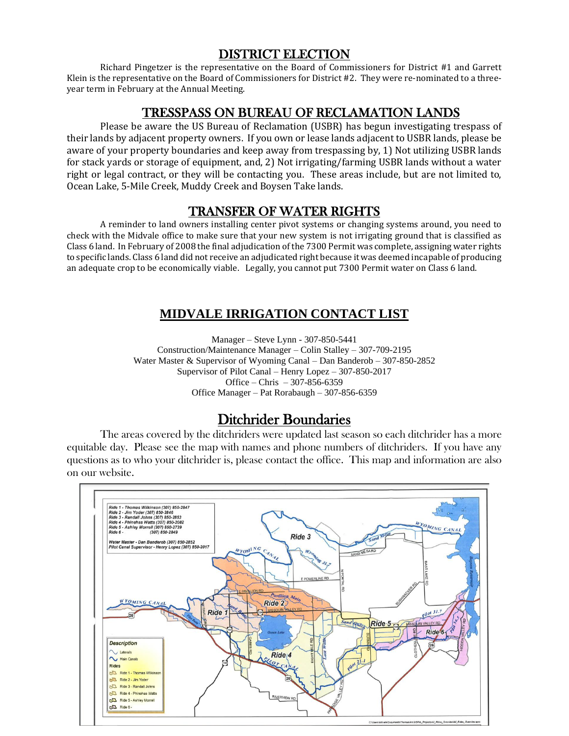## DISTRICT ELECTION

Richard Pingetzer is the representative on the Board of Commissioners for District #1 and Garrett Klein is the representative on the Board of Commissioners for District #2. They were re-nominated to a threeyear term in February at the Annual Meeting.

## TRESSPASS ON BUREAU OF RECLAMATION LANDS

Please be aware the US Bureau of Reclamation (USBR) has begun investigating trespass of their lands by adjacent property owners. If you own or lease lands adjacent to USBR lands, please be aware of your property boundaries and keep away from trespassing by, 1) Not utilizing USBR lands for stack yards or storage of equipment, and, 2) Not irrigating/farming USBR lands without a water right or legal contract, or they will be contacting you. These areas include, but are not limited to, Ocean Lake, 5-Mile Creek, Muddy Creek and Boysen Take lands.

# TRANSFER OF WATER RIGHTS

A reminder to land owners installing center pivot systems or changing systems around, you need to check with the Midvale office to make sure that your new system is not irrigating ground that is classified as Class 6 land. In February of 2008 the final adjudication of the 7300 Permit was complete, assigning water rights to specific lands. Class 6 land did not receive an adjudicated right because it was deemed incapable of producing an adequate crop to be economically viable. Legally, you cannot put 7300 Permit water on Class 6 land.

# **MIDVALE IRRIGATION CONTACT LIST**

Manager – Steve Lynn - 307-850-5441 Construction/Maintenance Manager – Colin Stalley – 307-709-2195 Water Master & Supervisor of Wyoming Canal – Dan Banderob – 307-850-2852 Supervisor of Pilot Canal – Henry Lopez – 307-850-2017 Office – Chris – 307-856-6359 Office Manager – Pat Rorabaugh – 307-856-6359

# Ditchrider Boundaries

The areas covered by the ditchriders were updated last season so each ditchrider has a more equitable day. Please see the map with names and phone numbers of ditchriders. If you have any questions as to who your ditchrider is, please contact the office. This map and information are also on our website.